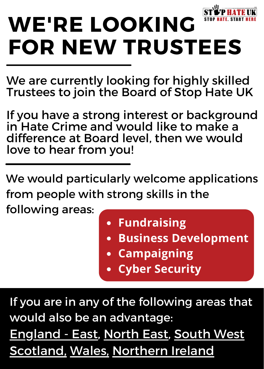

We are currently looking for highly skilled Trustees to join the Board of Stop Hate UK

If you have a strong interest or background in Hate Crime and would like to make a difference at Board level, then we would love to hear from you!

We would particularly welcome applications from people with strong skills in the

following areas:

- **Fundraising**
- **Business Development**
- **Campaigning**
- **Cyber Security**

If you are in any of the following areas that would also be an advantage: England - East, North East, South West Scotland, Wales, Northern Ireland